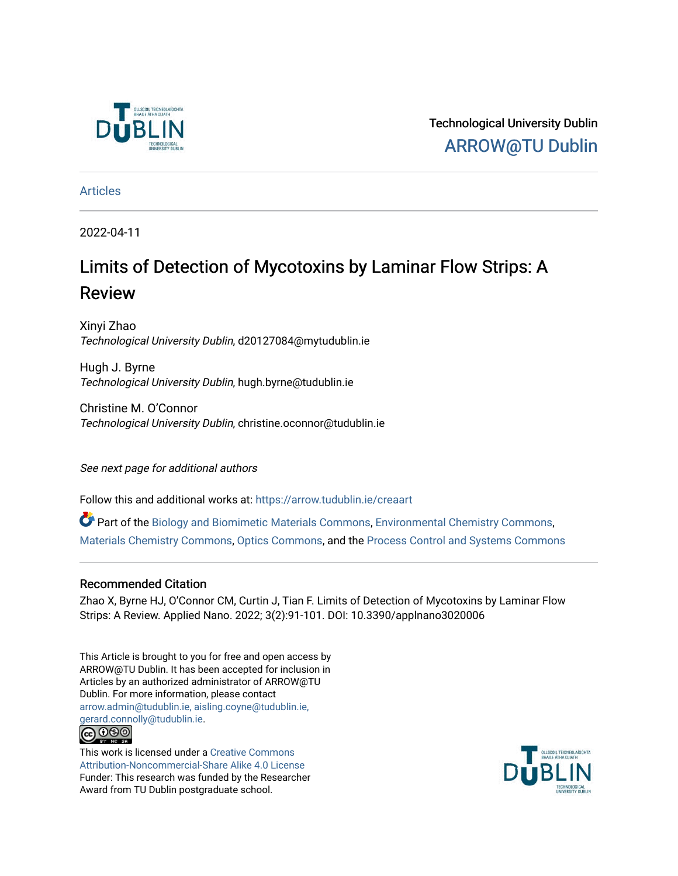

Technological University Dublin [ARROW@TU Dublin](https://arrow.tudublin.ie/) 

[Articles](https://arrow.tudublin.ie/creaart)

2022-04-11

# Limits of Detection of Mycotoxins by Laminar Flow Strips: A Review

Xinyi Zhao Technological University Dublin, d20127084@mytudublin.ie

Hugh J. Byrne Technological University Dublin, hugh.byrne@tudublin.ie

Christine M. O'Connor Technological University Dublin, christine.oconnor@tudublin.ie

See next page for additional authors

Follow this and additional works at: [https://arrow.tudublin.ie/creaart](https://arrow.tudublin.ie/creaart?utm_source=arrow.tudublin.ie%2Fcreaart%2F66&utm_medium=PDF&utm_campaign=PDFCoverPages) 

Part of the [Biology and Biomimetic Materials Commons,](http://network.bepress.com/hgg/discipline/286?utm_source=arrow.tudublin.ie%2Fcreaart%2F66&utm_medium=PDF&utm_campaign=PDFCoverPages) [Environmental Chemistry Commons](http://network.bepress.com/hgg/discipline/134?utm_source=arrow.tudublin.ie%2Fcreaart%2F66&utm_medium=PDF&utm_campaign=PDFCoverPages), [Materials Chemistry Commons,](http://network.bepress.com/hgg/discipline/135?utm_source=arrow.tudublin.ie%2Fcreaart%2F66&utm_medium=PDF&utm_campaign=PDFCoverPages) [Optics Commons](http://network.bepress.com/hgg/discipline/204?utm_source=arrow.tudublin.ie%2Fcreaart%2F66&utm_medium=PDF&utm_campaign=PDFCoverPages), and the [Process Control and Systems Commons](http://network.bepress.com/hgg/discipline/247?utm_source=arrow.tudublin.ie%2Fcreaart%2F66&utm_medium=PDF&utm_campaign=PDFCoverPages) 

### Recommended Citation

Zhao X, Byrne HJ, O'Connor CM, Curtin J, Tian F. Limits of Detection of Mycotoxins by Laminar Flow Strips: A Review. Applied Nano. 2022; 3(2):91-101. DOI: 10.3390/applnano3020006

This Article is brought to you for free and open access by ARROW@TU Dublin. It has been accepted for inclusion in Articles by an authorized administrator of ARROW@TU Dublin. For more information, please contact [arrow.admin@tudublin.ie, aisling.coyne@tudublin.ie,](mailto:arrow.admin@tudublin.ie,%20aisling.coyne@tudublin.ie,%20gerard.connolly@tudublin.ie)  [gerard.connolly@tudublin.ie](mailto:arrow.admin@tudublin.ie,%20aisling.coyne@tudublin.ie,%20gerard.connolly@tudublin.ie).



This work is licensed under a [Creative Commons](http://creativecommons.org/licenses/by-nc-sa/4.0/) [Attribution-Noncommercial-Share Alike 4.0 License](http://creativecommons.org/licenses/by-nc-sa/4.0/) Funder: This research was funded by the Researcher Award from TU Dublin postgraduate school.

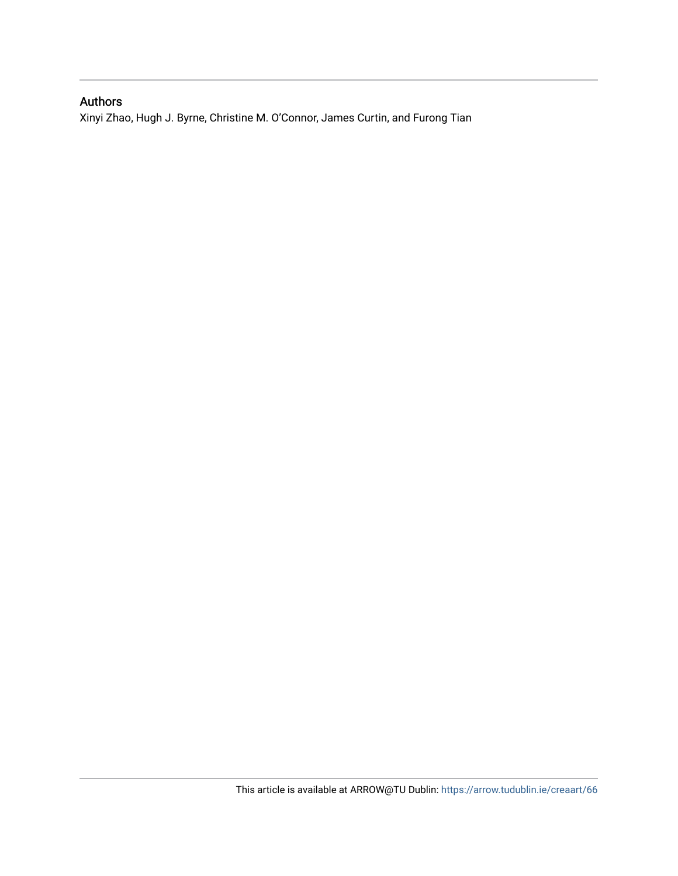### Authors

Xinyi Zhao, Hugh J. Byrne, Christine M. O'Connor, James Curtin, and Furong Tian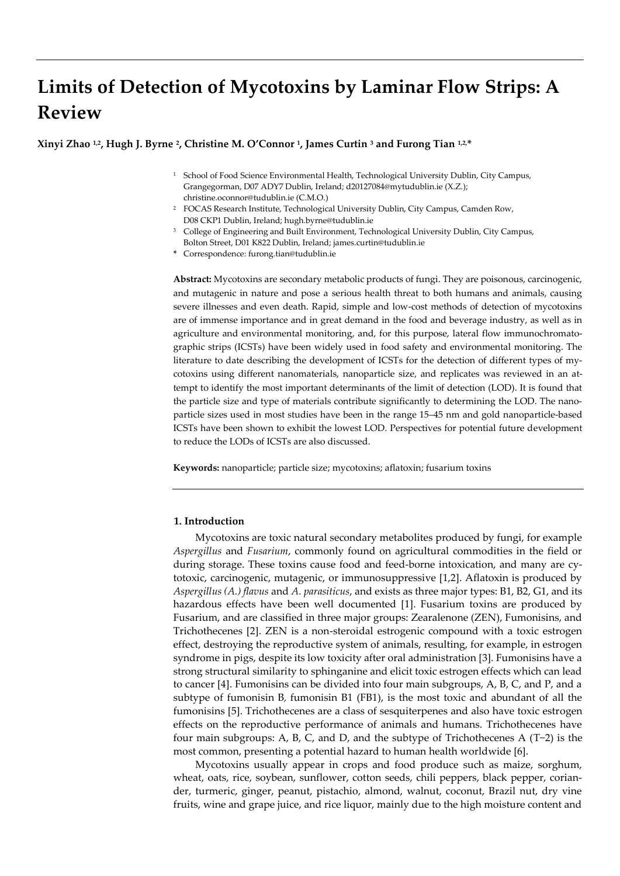# **Limits of Detection of Mycotoxins by Laminar Flow Strips: A Review**

**Xinyi Zhao 1,2 , Hugh J. Byrne <sup>2</sup> , Christine M. O'Connor <sup>1</sup> , James Curtin <sup>3</sup> and Furong Tian 1,2,\***

- <sup>1</sup> School of Food Science Environmental Health, Technological University Dublin, City Campus, Grangegorman, D07 ADY7 Dublin, Ireland; d20127084@mytudublin.ie (X.Z.); christine.oconnor@tudublin.ie (C.M.O.)
- <sup>2</sup> FOCAS Research Institute, Technological University Dublin, City Campus, Camden Row, D08 CKP1 Dublin, Ireland; hugh.byrne@tudublin.ie
- <sup>3</sup> College of Engineering and Built Environment, Technological University Dublin, City Campus, Bolton Street, D01 K822 Dublin, Ireland; james.curtin@tudublin.ie
- **\*** Correspondence: furong.tian@tudublin.ie

**Abstract:** Mycotoxins are secondary metabolic products of fungi. They are poisonous, carcinogenic, and mutagenic in nature and pose a serious health threat to both humans and animals, causing severe illnesses and even death. Rapid, simple and low-cost methods of detection of mycotoxins are of immense importance and in great demand in the food and beverage industry, as well as in agriculture and environmental monitoring, and, for this purpose, lateral flow immunochromatographic strips (ICSTs) have been widely used in food safety and environmental monitoring. The literature to date describing the development of ICSTs for the detection of different types of mycotoxins using different nanomaterials, nanoparticle size, and replicates was reviewed in an attempt to identify the most important determinants of the limit of detection (LOD). It is found that the particle size and type of materials contribute significantly to determining the LOD. The nanoparticle sizes used in most studies have been in the range 15–45 nm and gold nanoparticle-based ICSTs have been shown to exhibit the lowest LOD. Perspectives for potential future development to reduce the LODs of ICSTs are also discussed.

**Keywords:** nanoparticle; particle size; mycotoxins; aflatoxin; fusarium toxins

#### **1. Introduction**

Mycotoxins are toxic natural secondary metabolites produced by fungi, for example *Aspergillus* and *Fusarium*, commonly found on agricultural commodities in the field or during storage. These toxins cause food and feed-borne intoxication, and many are cytotoxic, carcinogenic, mutagenic, or immunosuppressive [1,2]. Aflatoxin is produced by *Aspergillus (A.) flavus* and *A. parasiticus*, and exists as three major types: B1, B2, G1, and its hazardous effects have been well documented [1]. Fusarium toxins are produced by Fusarium, and are classified in three major groups: Zearalenone (ZEN), Fumonisins, and Trichothecenes [2]. ZEN is a non-steroidal estrogenic compound with a toxic estrogen effect, destroying the reproductive system of animals, resulting, for example, in estrogen syndrome in pigs, despite its low toxicity after oral administration [3]. Fumonisins have a strong structural similarity to sphinganine and elicit toxic estrogen effects which can lead to cancer [4]. Fumonisins can be divided into four main subgroups, A, B, C, and P, and a subtype of fumonisin B*,* fumonisin B1 (FB1), is the most toxic and abundant of all the fumonisins [5]. Trichothecenes are a class of sesquiterpenes and also have toxic estrogen effects on the reproductive performance of animals and humans. Trichothecenes have four main subgroups: A, B, C, and D, and the subtype of Trichothecenes A (T−2) is the most common, presenting a potential hazard to human health worldwide [6].

Mycotoxins usually appear in crops and food produce such as maize, sorghum, wheat, oats, rice, soybean, sunflower, cotton seeds, chili peppers, black pepper, coriander, turmeric, ginger, peanut, pistachio, almond, walnut, coconut, Brazil nut, dry vine fruits, wine and grape juice, and rice liquor, mainly due to the high moisture content and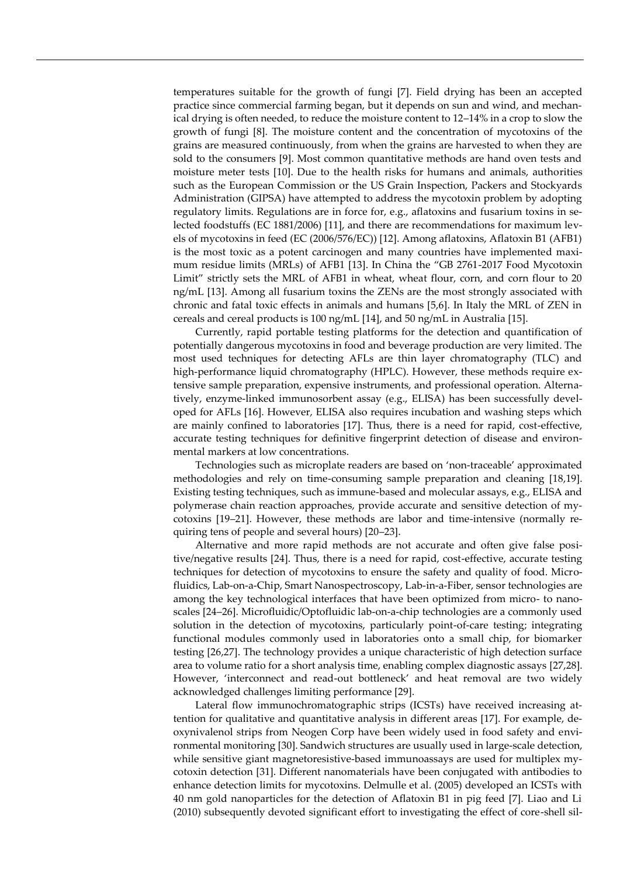temperatures suitable for the growth of fungi [7]. Field drying has been an accepted practice since commercial farming began, but it depends on sun and wind, and mechanical drying is often needed, to reduce the moisture content to 12–14% in a crop to slow the growth of fungi [8]. The moisture content and the concentration of mycotoxins of the grains are measured continuously, from when the grains are harvested to when they are sold to the consumers [9]. Most common quantitative methods are hand oven tests and moisture meter tests [10]. Due to the health risks for humans and animals, authorities such as the European Commission or the US Grain Inspection, Packers and Stockyards Administration (GIPSA) have attempted to address the mycotoxin problem by adopting regulatory limits. Regulations are in force for, e.g., aflatoxins and fusarium toxins in selected foodstuffs (EC 1881/2006) [11], and there are recommendations for maximum levels of mycotoxins in feed (EC (2006/576/EC)) [12]. Among aflatoxins, Aflatoxin B1 (AFB1) is the most toxic as a potent carcinogen and many countries have implemented maximum residue limits (MRLs) of AFB1 [13]. In China the "GB 2761-2017 Food Mycotoxin Limit" strictly sets the MRL of AFB1 in wheat, wheat flour, corn, and corn flour to 20 ng/mL [13]. Among all fusarium toxins the ZENs are the most strongly associated with chronic and fatal toxic effects in animals and humans [5,6]. In Italy the MRL of ZEN in cereals and cereal products is 100 ng/mL [14], and 50 ng/mL in Australia [15].

Currently, rapid portable testing platforms for the detection and quantification of potentially dangerous mycotoxins in food and beverage production are very limited. The most used techniques for detecting AFLs are thin layer chromatography (TLC) and high-performance liquid chromatography (HPLC). However, these methods require extensive sample preparation, expensive instruments, and professional operation. Alternatively, enzyme-linked immunosorbent assay (e.g., ELISA) has been successfully developed for AFLs [16]. However, ELISA also requires incubation and washing steps which are mainly confined to laboratories [17]. Thus, there is a need for rapid, cost-effective, accurate testing techniques for definitive fingerprint detection of disease and environmental markers at low concentrations.

Technologies such as microplate readers are based on 'non-traceable' approximated methodologies and rely on time-consuming sample preparation and cleaning [18,19]. Existing testing techniques, such as immune-based and molecular assays, e.g., ELISA and polymerase chain reaction approaches, provide accurate and sensitive detection of mycotoxins [19–21]. However, these methods are labor and time-intensive (normally requiring tens of people and several hours) [20–23].

Alternative and more rapid methods are not accurate and often give false positive/negative results [24]. Thus, there is a need for rapid, cost-effective, accurate testing techniques for detection of mycotoxins to ensure the safety and quality of food. Microfluidics, Lab-on-a-Chip, Smart Nanospectroscopy, Lab-in-a-Fiber, sensor technologies are among the key technological interfaces that have been optimized from micro- to nanoscales [24–26]. Microfluidic/Optofluidic lab-on-a-chip technologies are a commonly used solution in the detection of mycotoxins, particularly point-of-care testing; integrating functional modules commonly used in laboratories onto a small chip, for biomarker testing [26,27]. The technology provides a unique characteristic of high detection surface area to volume ratio for a short analysis time, enabling complex diagnostic assays [27,28]. However, 'interconnect and read-out bottleneck' and heat removal are two widely acknowledged challenges limiting performance [29].

Lateral flow immunochromatographic strips (ICSTs) have received increasing attention for qualitative and quantitative analysis in different areas [17]. For example, deoxynivalenol strips from Neogen Corp have been widely used in food safety and environmental monitoring [30]. Sandwich structures are usually used in large-scale detection, while sensitive giant magnetoresistive-based immunoassays are used for multiplex mycotoxin detection [31]. Different nanomaterials have been conjugated with antibodies to enhance detection limits for mycotoxins. Delmulle et al. (2005) developed an ICSTs with 40 nm gold nanoparticles for the detection of Aflatoxin B1 in pig feed [7]. Liao and Li (2010) subsequently devoted significant effort to investigating the effect of core-shell sil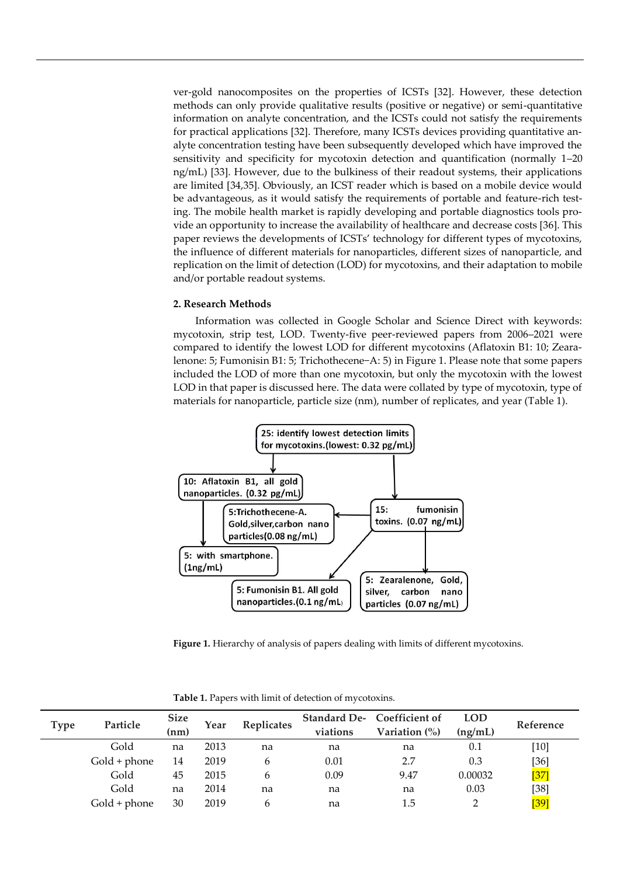ver-gold nanocomposites on the properties of ICSTs [32]. However, these detection methods can only provide qualitative results (positive or negative) or semi-quantitative information on analyte concentration, and the ICSTs could not satisfy the requirements for practical applications [32]. Therefore, many ICSTs devices providing quantitative analyte concentration testing have been subsequently developed which have improved the sensitivity and specificity for mycotoxin detection and quantification (normally 1–20 ng/mL) [33]. However, due to the bulkiness of their readout systems, their applications are limited [34,35]. Obviously, an ICST reader which is based on a mobile device would be advantageous, as it would satisfy the requirements of portable and feature-rich testing. The mobile health market is rapidly developing and portable diagnostics tools provide an opportunity to increase the availability of healthcare and decrease costs [36]. This paper reviews the developments of ICSTs' technology for different types of mycotoxins, the influence of different materials for nanoparticles, different sizes of nanoparticle, and replication on the limit of detection (LOD) for mycotoxins, and their adaptation to mobile and/or portable readout systems.

#### **2. Research Methods**

Information was collected in Google Scholar and Science Direct with keywords: mycotoxin, strip test, LOD. Twenty-five peer-reviewed papers from 2006–2021 were compared to identify the lowest LOD for different mycotoxins (Aflatoxin B1: 10; Zearalenone: 5; Fumonisin B1: 5; Trichothecene−A: 5) in Figure 1. Please note that some papers included the LOD of more than one mycotoxin, but only the mycotoxin with the lowest LOD in that paper is discussed here. The data were collated by type of mycotoxin, type of materials for nanoparticle, particle size (nm), number of replicates, and year (Table 1).



**Figure 1.** Hierarchy of analysis of papers dealing with limits of different mycotoxins.

| <b>Type</b> | Particle       | <b>Size</b> |      | Replicates |          | Standard De- Coefficient of | <b>LOD</b> | Reference       |
|-------------|----------------|-------------|------|------------|----------|-----------------------------|------------|-----------------|
|             |                | (nm)        | Year |            | viations | Variation $\binom{0}{0}$    | (ng/mL)    |                 |
|             | Gold           | na          | 2013 | na         | na       | na                          | 0.1        | $[10]$          |
|             | $Gold + phone$ | 14          | 2019 |            | 0.01     | 2.7                         | 0.3        | [36]            |
|             | Gold           | 45          | 2015 |            | 0.09     | 9.47                        | 0.00032    | [37]            |
|             | Gold           | na          | 2014 | na         | na       | na                          | 0.03       | [38]            |
|             | $Gold + phone$ | 30          | 2019 |            | na       | 1.5                         |            | $\overline{39}$ |

**Table 1.** Papers with limit of detection of mycotoxins.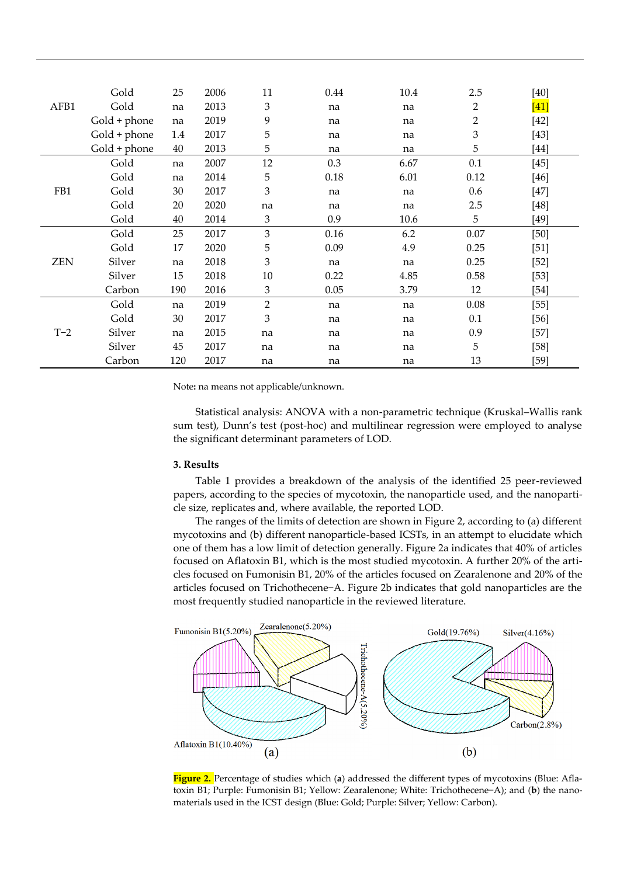|            | Gold           | 25  | 2006 | 11             | 0.44 | 10.4 | 2.5            | $[40]$ |
|------------|----------------|-----|------|----------------|------|------|----------------|--------|
| AFB1       | Gold           | na  | 2013 | 3              | na   | na   | $\overline{2}$ | $[41]$ |
|            | Gold + phone   | na  | 2019 | 9              | na   | na   | $\overline{2}$ | $[42]$ |
|            | Gold + phone   | 1.4 | 2017 | 5              | na   | na   | 3              | $[43]$ |
|            | $Gold + phone$ | 40  | 2013 | 5              | na   | na   | 5              | $[44]$ |
| FB1        | Gold           | na  | 2007 | 12             | 0.3  | 6.67 | 0.1            | $[45]$ |
|            | Gold           | na  | 2014 | 5              | 0.18 | 6.01 | 0.12           | $[46]$ |
|            | Gold           | 30  | 2017 | 3              | na   | na   | 0.6            | $[47]$ |
|            | Gold           | 20  | 2020 | na             | na   | na   | 2.5            | $[48]$ |
|            | Gold           | 40  | 2014 | 3              | 0.9  | 10.6 | 5              | $[49]$ |
| <b>ZEN</b> | Gold           | 25  | 2017 | 3              | 0.16 | 6.2  | 0.07           | $[50]$ |
|            | Gold           | 17  | 2020 | 5              | 0.09 | 4.9  | 0.25           | $[51]$ |
|            | Silver         | na  | 2018 | 3              | na   | na   | 0.25           | $[52]$ |
|            | Silver         | 15  | 2018 | 10             | 0.22 | 4.85 | 0.58           | $[53]$ |
|            | Carbon         | 190 | 2016 | 3              | 0.05 | 3.79 | 12             | $[54]$ |
| $T-2$      | Gold           | na  | 2019 | $\overline{2}$ | na   | na   | 0.08           | $[55]$ |
|            | Gold           | 30  | 2017 | 3              | na   | na   | 0.1            | $[56]$ |
|            | Silver         | na  | 2015 | na             | na   | na   | 0.9            | $[57]$ |
|            | Silver         | 45  | 2017 | na             | na   | na   | 5              | $[58]$ |
|            | Carbon         | 120 | 2017 | na             | na   | na   | 13             | $[59]$ |

Note**:** na means not applicable/unknown.

Statistical analysis: ANOVA with a non-parametric technique (Kruskal–Wallis rank sum test), Dunn's test (post-hoc) and multilinear regression were employed to analyse the significant determinant parameters of LOD.

#### **3. Results**

Table 1 provides a breakdown of the analysis of the identified 25 peer-reviewed papers, according to the species of mycotoxin, the nanoparticle used, and the nanoparticle size, replicates and, where available, the reported LOD.

The ranges of the limits of detection are shown in Figure 2, according to (a) different mycotoxins and (b) different nanoparticle-based ICSTs, in an attempt to elucidate which one of them has a low limit of detection generally. Figure 2a indicates that 40% of articles focused on Aflatoxin B1, which is the most studied mycotoxin. A further 20% of the articles focused on Fumonisin B1, 20% of the articles focused on Zearalenone and 20% of the articles focused on Trichothecene−A. Figure 2b indicates that gold nanoparticles are the most frequently studied nanoparticle in the reviewed literature.



**Figure 2.** Percentage of studies which (**a**) addressed the different types of mycotoxins (Blue: Aflatoxin B1; Purple: Fumonisin B1; Yellow: Zearalenone; White: Trichothecene−A); and (**b**) the nanomaterials used in the ICST design (Blue: Gold; Purple: Silver; Yellow: Carbon).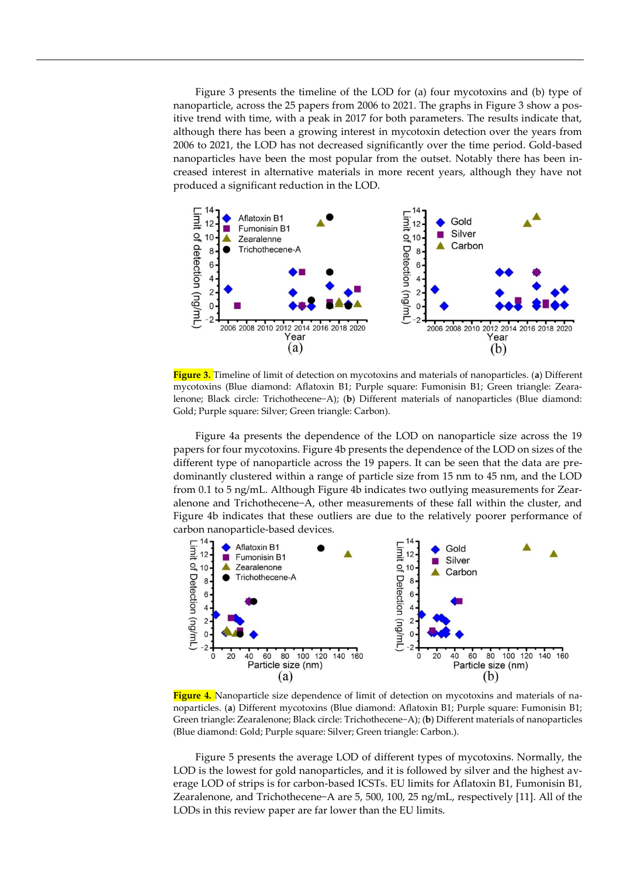Figure 3 presents the timeline of the LOD for (a) four mycotoxins and (b) type of nanoparticle, across the 25 papers from 2006 to 2021. The graphs in Figure 3 show a positive trend with time, with a peak in 2017 for both parameters. The results indicate that, although there has been a growing interest in mycotoxin detection over the years from 2006 to 2021, the LOD has not decreased significantly over the time period. Gold-based nanoparticles have been the most popular from the outset. Notably there has been increased interest in alternative materials in more recent years, although they have not produced a significant reduction in the LOD.



**Figure 3.** Timeline of limit of detection on mycotoxins and materials of nanoparticles. (**a**) Different mycotoxins (Blue diamond: Aflatoxin B1; Purple square: Fumonisin B1; Green triangle: Zearalenone; Black circle: Trichothecene−A); (**b**) Different materials of nanoparticles (Blue diamond: Gold; Purple square: Silver; Green triangle: Carbon).

Figure 4a presents the dependence of the LOD on nanoparticle size across the 19 papers for four mycotoxins. Figure 4b presents the dependence of the LOD on sizes of the different type of nanoparticle across the 19 papers. It can be seen that the data are predominantly clustered within a range of particle size from 15 nm to 45 nm, and the LOD from 0.1 to 5 ng/mL. Although Figure 4b indicates two outlying measurements for Zearalenone and Trichothecene−A, other measurements of these fall within the cluster, and Figure 4b indicates that these outliers are due to the relatively poorer performance of carbon nanoparticle-based devices.



**Figure 4.** Nanoparticle size dependence of limit of detection on mycotoxins and materials of nanoparticles. (**a**) Different mycotoxins (Blue diamond: Aflatoxin B1; Purple square: Fumonisin B1; Green triangle: Zearalenone; Black circle: Trichothecene−A); (**b**) Different materials of nanoparticles (Blue diamond: Gold; Purple square: Silver; Green triangle: Carbon.).

Figure 5 presents the average LOD of different types of mycotoxins. Normally, the LOD is the lowest for gold nanoparticles, and it is followed by silver and the highest average LOD of strips is for carbon-based ICSTs. EU limits for Aflatoxin B1, Fumonisin B1, Zearalenone, and Trichothecene−A are 5, 500, 100, 25 ng/mL, respectively [11]. All of the LODs in this review paper are far lower than the EU limits.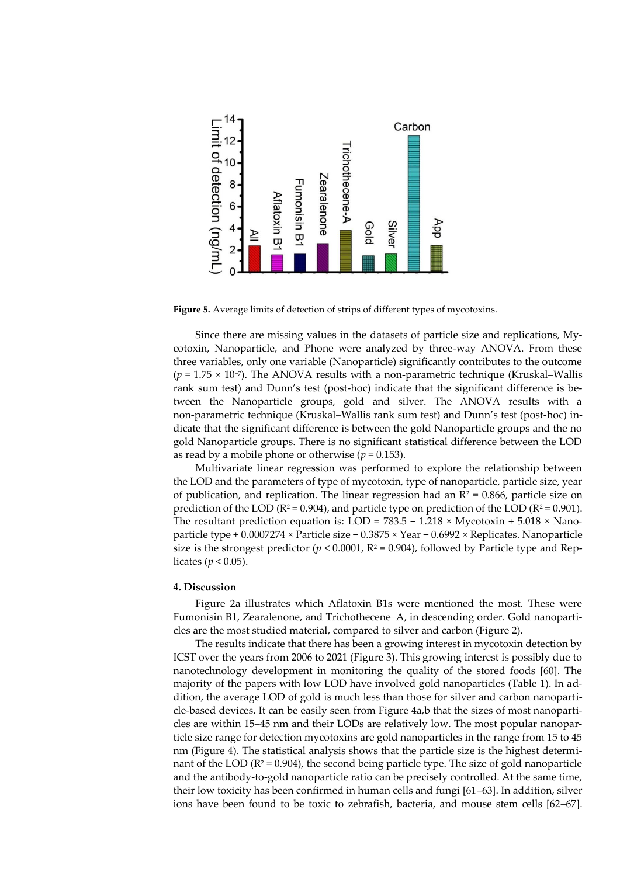

**Figure 5.** Average limits of detection of strips of different types of mycotoxins.

Since there are missing values in the datasets of particle size and replications, Mycotoxin, Nanoparticle, and Phone were analyzed by three-way ANOVA. From these three variables, only one variable (Nanoparticle) significantly contributes to the outcome (*p* = 1.75 × 10−7). The ANOVA results with a non-parametric technique (Kruskal–Wallis rank sum test) and Dunn's test (post-hoc) indicate that the significant difference is between the Nanoparticle groups, gold and silver. The ANOVA results with a non-parametric technique (Kruskal–Wallis rank sum test) and Dunn's test (post-hoc) indicate that the significant difference is between the gold Nanoparticle groups and the no gold Nanoparticle groups. There is no significant statistical difference between the LOD as read by a mobile phone or otherwise  $(p = 0.153)$ .

Multivariate linear regression was performed to explore the relationship between the LOD and the parameters of type of mycotoxin, type of nanoparticle, particle size, year of publication, and replication. The linear regression had an  $R^2 = 0.866$ , particle size on prediction of the LOD ( $R^2 = 0.904$ ), and particle type on prediction of the LOD ( $R^2 = 0.901$ ). The resultant prediction equation is: LOD =  $783.5 - 1.218 \times \text{Mycotoxin} + 5.018 \times \text{Nano}$ particle type + 0.0007274 × Particle size − 0.3875 × Year − 0.6992 × Replicates. Nanoparticle size is the strongest predictor ( $p < 0.0001$ ,  $R^2 = 0.904$ ), followed by Particle type and Replicates ( $p < 0.05$ ).

#### **4. Discussion**

Figure 2a illustrates which Aflatoxin B1s were mentioned the most. These were Fumonisin B1, Zearalenone, and Trichothecene−A, in descending order. Gold nanoparticles are the most studied material, compared to silver and carbon (Figure 2).

The results indicate that there has been a growing interest in mycotoxin detection by ICST over the years from 2006 to 2021 (Figure 3). This growing interest is possibly due to nanotechnology development in monitoring the quality of the stored foods [60]. The majority of the papers with low LOD have involved gold nanoparticles (Table 1). In addition, the average LOD of gold is much less than those for silver and carbon nanoparticle-based devices. It can be easily seen from Figure 4a,b that the sizes of most nanoparticles are within 15–45 nm and their LODs are relatively low. The most popular nanoparticle size range for detection mycotoxins are gold nanoparticles in the range from 15 to 45 nm (Figure 4). The statistical analysis shows that the particle size is the highest determinant of the LOD ( $R^2 = 0.904$ ), the second being particle type. The size of gold nanoparticle and the antibody-to-gold nanoparticle ratio can be precisely controlled. At the same time, their low toxicity has been confirmed in human cells and fungi [61–63]. In addition, silver ions have been found to be toxic to zebrafish, bacteria, and mouse stem cells [62–67].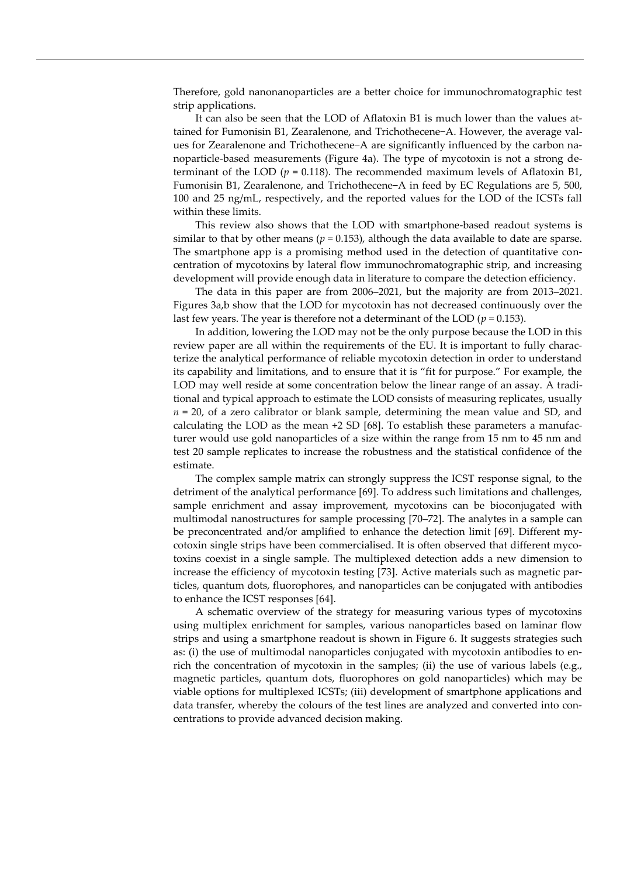Therefore, gold nanonanoparticles are a better choice for immunochromatographic test strip applications.

It can also be seen that the LOD of Aflatoxin B1 is much lower than the values attained for Fumonisin B1, Zearalenone, and Trichothecene−A. However, the average values for Zearalenone and Trichothecene−A are significantly influenced by the carbon nanoparticle-based measurements (Figure 4a). The type of mycotoxin is not a strong determinant of the LOD  $(p = 0.118)$ . The recommended maximum levels of Aflatoxin B1, Fumonisin B1, Zearalenone, and Trichothecene−A in feed by EC Regulations are 5, 500, 100 and 25 ng/mL, respectively, and the reported values for the LOD of the ICSTs fall within these limits.

This review also shows that the LOD with smartphone-based readout systems is similar to that by other means ( $p = 0.153$ ), although the data available to date are sparse. The smartphone app is a promising method used in the detection of quantitative concentration of mycotoxins by lateral flow immunochromatographic strip, and increasing development will provide enough data in literature to compare the detection efficiency.

The data in this paper are from 2006–2021, but the majority are from 2013–2021. Figures 3a,b show that the LOD for mycotoxin has not decreased continuously over the last few years. The year is therefore not a determinant of the LOD ( $p = 0.153$ ).

In addition, lowering the LOD may not be the only purpose because the LOD in this review paper are all within the requirements of the EU. It is important to fully characterize the analytical performance of reliable mycotoxin detection in order to understand its capability and limitations, and to ensure that it is "fit for purpose." For example, the LOD may well reside at some concentration below the linear range of an assay. A traditional and typical approach to estimate the LOD consists of measuring replicates, usually  $n = 20$ , of a zero calibrator or blank sample, determining the mean value and SD, and calculating the LOD as the mean +2 SD [68]. To establish these parameters a manufacturer would use gold nanoparticles of a size within the range from 15 nm to 45 nm and test 20 sample replicates to increase the robustness and the statistical confidence of the estimate.

The complex sample matrix can strongly suppress the ICST response signal, to the detriment of the analytical performance [69]. To address such limitations and challenges, sample enrichment and assay improvement, mycotoxins can be bioconjugated with multimodal nanostructures for sample processing [70–72]. The analytes in a sample can be preconcentrated and/or amplified to enhance the detection limit [69]. Different mycotoxin single strips have been commercialised. It is often observed that different mycotoxins coexist in a single sample. The multiplexed detection adds a new dimension to increase the efficiency of mycotoxin testing [73]. Active materials such as magnetic particles, quantum dots, fluorophores, and nanoparticles can be conjugated with antibodies to enhance the ICST responses [64].

A schematic overview of the strategy for measuring various types of mycotoxins using multiplex enrichment for samples, various nanoparticles based on laminar flow strips and using a smartphone readout is shown in Figure 6. It suggests strategies such as: (i) the use of multimodal nanoparticles conjugated with mycotoxin antibodies to enrich the concentration of mycotoxin in the samples; (ii) the use of various labels (e.g., magnetic particles, quantum dots, fluorophores on gold nanoparticles) which may be viable options for multiplexed ICSTs; (iii) development of smartphone applications and data transfer, whereby the colours of the test lines are analyzed and converted into concentrations to provide advanced decision making.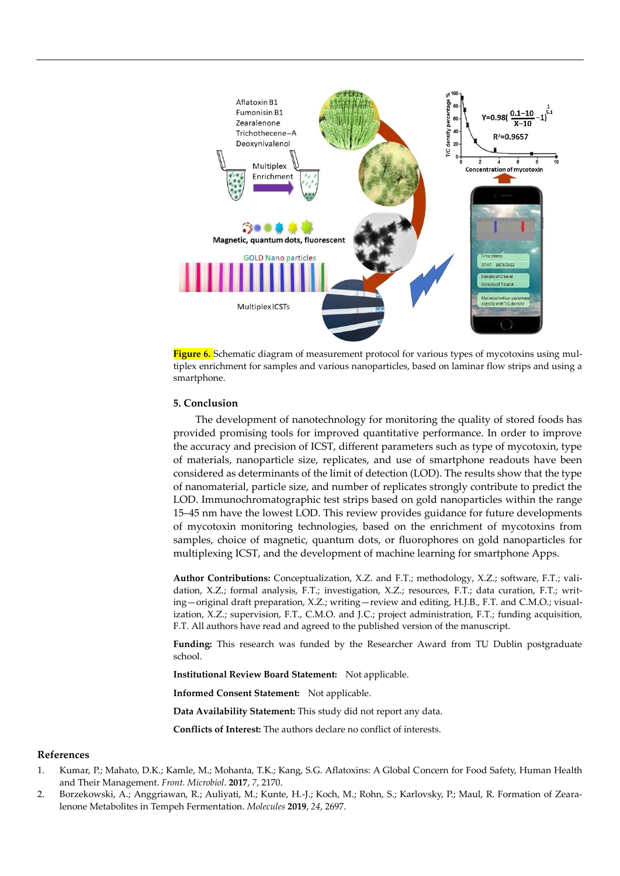



#### **5. Conclusion**

The development of nanotechnology for monitoring the quality of stored foods has provided promising tools for improved quantitative performance. In order to improve the accuracy and precision of ICST, different parameters such as type of mycotoxin, type of materials, nanoparticle size, replicates, and use of smartphone readouts have been considered as determinants of the limit of detection (LOD). The results show that the type of nanomaterial, particle size, and number of replicates strongly contribute to predict the LOD. Immunochromatographic test strips based on gold nanoparticles within the range 15–45 nm have the lowest LOD. This review provides guidance for future developments of mycotoxin monitoring technologies, based on the enrichment of mycotoxins from samples, choice of magnetic, quantum dots, or fluorophores on gold nanoparticles for multiplexing ICST, and the development of machine learning for smartphone Apps.

**Author Contributions:** Conceptualization, X.Z. and F.T.; methodology, X.Z.; software, F.T.; validation, X.Z.; formal analysis, F.T.; investigation, X.Z.; resources, F.T.; data curation, F.T.; writing—original draft preparation, X.Z.; writing—review and editing, H.J.B., F.T. and C.M.O.; visualization, X.Z.; supervision, F.T., C.M.O. and J.C.; project administration, F.T.; funding acquisition, F.T. All authors have read and agreed to the published version of the manuscript.

**Funding:** This research was funded by the Researcher Award from TU Dublin postgraduate school.

**Institutional Review Board Statement:** Not applicable.

**Informed Consent Statement:** Not applicable.

**Data Availability Statement:** This study did not report any data.

**Conflicts of Interest:** The authors declare no conflict of interests.

#### **References**

- 1. Kumar, P.; Mahato, D.K.; Kamle, M.; Mohanta, T.K.; Kang, S.G. Aflatoxins: A Global Concern for Food Safety, Human Health and Their Management. *Front. Microbiol*. **2017**, *7*, 2170.
- 2. Borzekowski, A.; Anggriawan, R.; Auliyati, M.; Kunte, H.-J.; Koch, M.; Rohn, S.; Karlovsky, P.; Maul, R. Formation of Zearalenone Metabolites in Tempeh Fermentation. *Molecules* **2019**, *24*, 2697.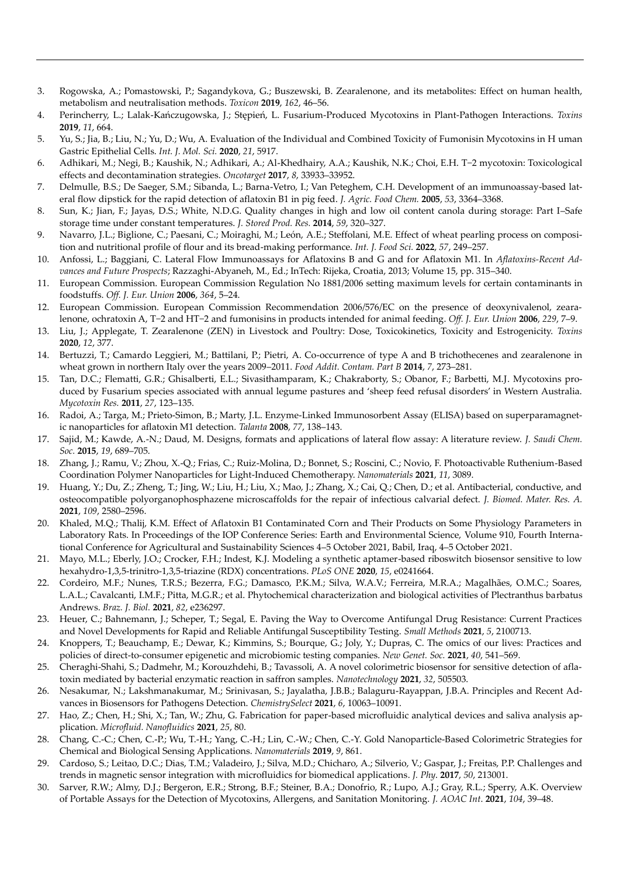- 3. Rogowska, A.; Pomastowski, P.; Sagandykova, G.; Buszewski, B. Zearalenone, and its metabolites: Effect on human health, metabolism and neutralisation methods. *Toxicon* **2019**, *162*, 46–56.
- 4. Perincherry, L.; Lalak-Kańczugowska, J.; Stępień, L. Fusarium-Produced Mycotoxins in Plant-Pathogen Interactions. *Toxins* **2019**, *11*, 664.
- 5. Yu, S.; Jia, B.; Liu, N.; Yu, D.; Wu, A. Evaluation of the Individual and Combined Toxicity of Fumonisin Mycotoxins in H uman Gastric Epithelial Cells. *Int. J. Mol. Sci.* **2020**, *21*, 5917.
- 6. Adhikari, M.; Negi, B.; Kaushik, N.; Adhikari, A.; Al-Khedhairy, A.A.; Kaushik, N.K.; Choi, E.H. T−2 mycotoxin: Toxicological effects and decontamination strategies. *Oncotarget* **2017**, *8*, 33933–33952.
- 7. Delmulle, B.S.; De Saeger, S.M.; Sibanda, L.; Barna-Vetro, I.; Van Peteghem, C.H. Development of an immunoassay-based lateral flow dipstick for the rapid detection of aflatoxin B1 in pig feed. *J. Agric. Food Chem.* **2005**, *53*, 3364–3368.
- 8. Sun, K.; Jian, F.; Jayas, D.S.; White, N.D.G. Quality changes in high and low oil content canola during storage: Part I–Safe storage time under constant temperatures. *J. Stored Prod. Res.* **2014**, *59*, 320–327.
- 9. Navarro, J.L.; Biglione, C.; Paesani, C.; Moiraghi, M.; León, A.E.; Steffolani, M.E. Effect of wheat pearling process on composition and nutritional profile of flour and its bread-making performance. *Int. J. Food Sci.* **2022**, *57*, 249–257.
- 10. Anfossi, L.; Baggiani, C. Lateral Flow Immunoassays for Aflatoxins B and G and for Aflatoxin M1. In *Aflatoxins-Recent Advances and Future Prospects*; Razzaghi-Abyaneh, M., Ed.; InTech: Rijeka, Croatia, 2013; Volume 15, pp. 315–340.
- 11. European Commission. European Commission Regulation No 1881/2006 setting maximum levels for certain contaminants in foodstuffs. *Off. J. Eur. Union* **2006**, *364*, 5–24.
- 12. European Commission. European Commission Recommendation 2006/576/EC on the presence of deoxynivalenol, zearalenone, ochratoxin A, T−2 and HT−2 and fumonisins in products intended for animal feeding. *Off. J. Eur. Union* **2006**, *229*, 7–9.
- 13. Liu, J.; Applegate, T. Zearalenone (ZEN) in Livestock and Poultry: Dose, Toxicokinetics, Toxicity and Estrogenicity. *Toxins* **2020**, *12*, 377.
- 14. Bertuzzi, T.; Camardo Leggieri, M.; Battilani, P.; Pietri, A. Co-occurrence of type A and B trichothecenes and zearalenone in wheat grown in northern Italy over the years 2009–2011. *Food Addit. Contam. Part B* **2014**, *7*, 273–281.
- 15. Tan, D.C.; Flematti, G.R.; Ghisalberti, E.L.; Sivasithamparam, K.; Chakraborty, S.; Obanor, F.; Barbetti, M.J. Mycotoxins produced by Fusarium species associated with annual legume pastures and 'sheep feed refusal disorders' in Western Australia. *Mycotoxin Res.* **2011**, *27*, 123–135.
- 16. Radoi, A.; Targa, M.; Prieto-Simon, B.; Marty, J.L. Enzyme-Linked Immunosorbent Assay (ELISA) based on superparamagnetic nanoparticles for aflatoxin M1 detection. *Talanta* **2008**, *77*, 138–143.
- 17. Sajid, M.; Kawde, A.-N.; Daud, M. Designs, formats and applications of lateral flow assay: A literature review. *J. Saudi Chem. Soc.* **2015**, *19*, 689–705.
- 18. Zhang, J.; Ramu, V.; Zhou, X.-Q.; Frias, C.; Ruiz-Molina, D.; Bonnet, S.; Roscini, C.; Novio, F. Photoactivable Ruthenium-Based Coordination Polymer Nanoparticles for Light-Induced Chemotherapy. *Nanomaterials* **2021**, *11*, 3089.
- 19. Huang, Y.; Du, Z.; Zheng, T.; Jing, W.; Liu, H.; Liu, X.; Mao, J.; Zhang, X.; Cai, Q.; Chen, D.; et al. Antibacterial, conductive, and osteocompatible polyorganophosphazene microscaffolds for the repair of infectious calvarial defect. *J. Biomed. Mater. Res. A.*  **2021**, *109*, 2580–2596.
- 20. Khaled, M.Q.; Thalij, K.M. Effect of Aflatoxin B1 Contaminated Corn and Their Products on Some Physiology Parameters in Laboratory Rats. In Proceedings of the IOP Conference Series: Earth and Environmental Science, [Volume 910,](https://iopscience.iop.org/volume/1755-1315/910) [Fourth Interna](https://iopscience.iop.org/issue/1755-1315/910/1)[tional Conference for Agricultural and Sustainability Sciences 4](https://iopscience.iop.org/issue/1755-1315/910/1)–5 October 2021, Babil, Iraq, 4–[5 October 2021.](https://iopscience.iop.org/issue/1755-1315/910/1)
- 21. Mayo, M.L.; Eberly, J.O.; Crocker, F.H.; Indest, K.J. Modeling a synthetic aptamer-based riboswitch biosensor sensitive to low hexahydro-1,3,5-trinitro-1,3,5-triazine (RDX) concentrations. *PLoS ONE* **2020**, *15*, e0241664.
- 22. Cordeiro, M.F.; Nunes, T.R.S.; Bezerra, F.G.; Damasco, P.K.M.; Silva, W.A.V.; Ferreira, M.R.A.; Magalhães, O.M.C.; Soares, L.A.L.; Cavalcanti, I.M.F.; Pitta, M.G.R.; et al. Phytochemical characterization and biological activities of Plectranthus barbatus Andrews. *Braz. J. Biol.* **2021**, *82*, e236297.
- 23. Heuer, C.; Bahnemann, J.; Scheper, T.; Segal, E. Paving the Way to Overcome Antifungal Drug Resistance: Current Practices and Novel Developments for Rapid and Reliable Antifungal Susceptibility Testing. *Small Methods* **2021**, *5*, 2100713.
- 24. Knoppers, T.; Beauchamp, E.; Dewar, K.; Kimmins, S.; Bourque, G.; Joly, Y.; Dupras, C. The omics of our lives: Practices and policies of direct-to-consumer epigenetic and microbiomic testing companies. *New Genet. Soc.* **2021**, *40*, 541–569.
- 25. Cheraghi-Shahi, S.; Dadmehr, M.; Korouzhdehi, B.; Tavassoli, A. A novel colorimetric biosensor for sensitive detection of aflatoxin mediated by bacterial enzymatic reaction in saffron samples. *Nanotechnology* **2021**, *32*, 505503.
- 26. Nesakumar, N.; Lakshmanakumar, M.; Srinivasan, S.; Jayalatha, J.B.B.; Balaguru-Rayappan, J.B.A. Principles and Recent Advances in Biosensors for Pathogens Detection. *ChemistrySelect* **2021**, *6*, 10063–10091.
- 27. Hao, Z.; Chen, H.; Shi, X.; Tan, W.; Zhu, G. Fabrication for paper-based microfluidic analytical devices and saliva analysis application. *Microfluid. Nanofluidics* **2021**, *25*, 80.
- 28. Chang, C.-C.; Chen, C.-P.; Wu, T.-H.; Yang, C.-H.; Lin, C.-W.; Chen, C.-Y. Gold Nanoparticle-Based Colorimetric Strategies for Chemical and Biological Sensing Applications. *Nanomaterials* **2019**, *9*, 861.
- 29. Cardoso, S.; Leitao, D.C.; Dias, T.M.; Valadeiro, J.; Silva, M.D.; Chicharo, A.; Silverio, V.; Gaspar, J.; Freitas, P.P. Challenges and trends in magnetic sensor integration with microfluidics for biomedical applications. *J. Phy*. **2017**, *50*, 213001.
- 30. Sarver, R.W.; Almy, D.J.; Bergeron, E.R.; Strong, B.F.; Steiner, B.A.; Donofrio, R.; Lupo, A.J.; Gray, R.L.; Sperry, A.K. Overview of Portable Assays for the Detection of Mycotoxins, Allergens, and Sanitation Monitoring. *J. AOAC Int*. **2021**, *104*, 39–48.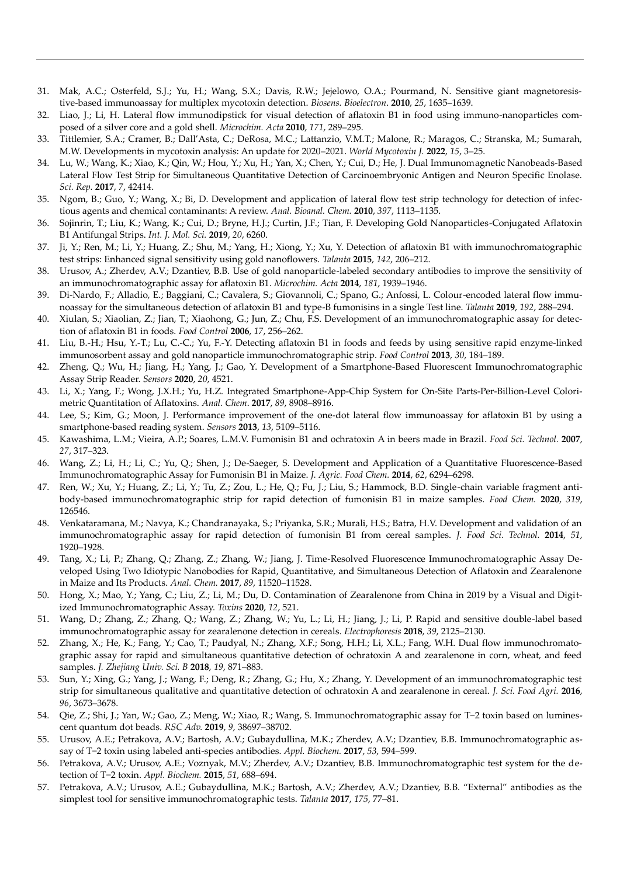- 31. Mak, A.C.; Osterfeld, S.J.; Yu, H.; Wang, S.X.; Davis, R.W.; Jejelowo, O.A.; Pourmand, N. Sensitive giant magnetoresistive-based immunoassay for multiplex mycotoxin detection. *Biosens. Bioelectron*. **2010**, *25*, 1635–1639.
- 32. Liao, J.; Li, H. Lateral flow immunodipstick for visual detection of aflatoxin B1 in food using immuno-nanoparticles composed of a silver core and a gold shell. *Microchim. Acta* **2010**, *171*, 289–295.
- 33. Tittlemier, S.A.; Cramer, B.; Dall'Asta, C.; DeRosa, M.C.; Lattanzio, V.M.T.; Malone, R.; Maragos, C.; Stranska, M.; Sumarah, M.W. Developments in mycotoxin analysis: An update for 2020–2021. *World Mycotoxin J.* **2022**, *15*, 3–25.
- 34. Lu, W.; Wang, K.; Xiao, K.; Qin, W.; Hou, Y.; Xu, H.; Yan, X.; Chen, Y.; Cui, D.; He, J. Dual Immunomagnetic Nanobeads-Based Lateral Flow Test Strip for Simultaneous Quantitative Detection of Carcinoembryonic Antigen and Neuron Specific Enolase. *Sci. Rep.* **2017**, *7*, 42414.
- 35. Ngom, B.; Guo, Y.; Wang, X.; Bi, D. Development and application of lateral flow test strip technology for detection of infectious agents and chemical contaminants: A review. *Anal. Bioanal. Chem.* **2010**, *397*, 1113–1135.
- 36. Sojinrin, T.; Liu, K.; Wang, K.; Cui, D.; Bryne, H.J.; Curtin, J.F.; Tian, F. Developing Gold Nanoparticles-Conjugated Aflatoxin B1 Antifungal Strips. *Int. J. Mol. Sci.* **2019**, *20*, 6260.
- 37. Ji, Y.; Ren, M.; Li, Y.; Huang, Z.; Shu, M.; Yang, H.; Xiong, Y.; Xu, Y. Detection of aflatoxin B1 with immunochromatographic test strips: Enhanced signal sensitivity using gold nanoflowers. *Talanta* **2015**, *142*, 206–212.
- 38. Urusov, A.; Zherdev, A.V.; Dzantiev, B.B. Use of gold nanoparticle-labeled secondary antibodies to improve the sensitivity of an immunochromatographic assay for aflatoxin B1. *Microchim. Acta* **2014**, *181*, 1939–1946.
- 39. Di-Nardo, F.; Alladio, E.; Baggiani, C.; Cavalera, S.; Giovannoli, C.; Spano, G.; Anfossi, L. Colour-encoded lateral flow immunoassay for the simultaneous detection of aflatoxin B1 and type-B fumonisins in a single Test line. *Talanta* **2019**, *192*, 288–294.
- 40. Xiulan, S.; Xiaolian, Z.; Jian, T.; Xiaohong, G.; Jun, Z.; Chu, F.S. Development of an immunochromatographic assay for detection of aflatoxin B1 in foods. *Food Control* **2006**, *17*, 256–262.
- 41. Liu, B.-H.; Hsu, Y.-T.; Lu, C.-C.; Yu, F.-Y. Detecting aflatoxin B1 in foods and feeds by using sensitive rapid enzyme-linked immunosorbent assay and gold nanoparticle immunochromatographic strip. *Food Control* **2013**, *30*, 184–189.
- 42. Zheng, Q.; Wu, H.; Jiang, H.; Yang, J.; Gao, Y. Development of a Smartphone-Based Fluorescent Immunochromatographic Assay Strip Reader. *Sensors* **2020**, *20*, 4521.
- 43. Li, X.; Yang, F.; Wong, J.X.H.; Yu, H.Z. Integrated Smartphone-App-Chip System for On-Site Parts-Per-Billion-Level Colorimetric Quantitation of Aflatoxins. *Anal. Chem*. **2017**, *89*, 8908–8916.
- 44. Lee, S.; Kim, G.; Moon, J. Performance improvement of the one-dot lateral flow immunoassay for aflatoxin B1 by using a smartphone-based reading system. *Sensors* **2013**, *13*, 5109–5116.
- 45. Kawashima, L.M.; Vieira, A.P.; Soares, L.M.V. Fumonisin B1 and ochratoxin A in beers made in Brazil. *Food Sci. Technol.* **2007**, *27*, 317–323.
- 46. Wang, Z.; Li, H.; Li, C.; Yu, Q.; Shen, J.; De-Saeger, S. Development and Application of a Quantitative Fluorescence-Based Immunochromatographic Assay for Fumonisin B1 in Maize. *J. Agric. Food Chem.* **2014**, *62*, 6294–6298.
- 47. Ren, W.; Xu, Y.; Huang, Z.; Li, Y.; Tu, Z.; Zou, L.; He, Q.; Fu, J.; Liu, S.; Hammock, B.D. Single-chain variable fragment antibody-based immunochromatographic strip for rapid detection of fumonisin B1 in maize samples. *Food Chem.* **2020**, *319*, 126546.
- 48. Venkataramana, M.; Navya, K.; Chandranayaka, S.; Priyanka, S.R.; Murali, H.S.; Batra, H.V. Development and validation of an immunochromatographic assay for rapid detection of fumonisin B1 from cereal samples. *J. Food Sci. Technol.* **2014**, *51*, 1920–1928.
- 49. Tang, X.; Li, P.; Zhang, Q.; Zhang, Z.; Zhang, W.; Jiang, J. Time-Resolved Fluorescence Immunochromatographic Assay Developed Using Two Idiotypic Nanobodies for Rapid, Quantitative, and Simultaneous Detection of Aflatoxin and Zearalenone in Maize and Its Products. *Anal. Chem.* **2017**, *89*, 11520–11528.
- 50. Hong, X.; Mao, Y.; Yang, C.; Liu, Z.; Li, M.; Du, D. Contamination of Zearalenone from China in 2019 by a Visual and Digitized Immunochromatographic Assay. *Toxins* **2020**, *12*, 521.
- 51. Wang, D.; Zhang, Z.; Zhang, Q.; Wang, Z.; Zhang, W.; Yu, L.; Li, H.; Jiang, J.; Li, P. Rapid and sensitive double-label based immunochromatographic assay for zearalenone detection in cereals. *Electrophoresis* **2018**, *39*, 2125–2130.
- 52. Zhang, X.; He, K.; Fang, Y.; Cao, T.; Paudyal, N.; Zhang, X.F.; Song, H.H.; Li, X.L.; Fang, W.H. Dual flow immunochromatographic assay for rapid and simultaneous quantitative detection of ochratoxin A and zearalenone in corn, wheat, and feed samples. *J. Zhejiang Univ. Sci. B* **2018**, *19*, 871–883.
- 53. Sun, Y.; Xing, G.; Yang, J.; Wang, F.; Deng, R.; Zhang, G.; Hu, X.; Zhang, Y. Development of an immunochromatographic test strip for simultaneous qualitative and quantitative detection of ochratoxin A and zearalenone in cereal. *J. Sci. Food Agri.* **2016**, *96*, 3673–3678.
- 54. Qie, Z.; Shi, J.; Yan, W.; Gao, Z.; Meng, W.; Xiao, R.; Wang, S. Immunochromatographic assay for T−2 toxin based on luminescent quantum dot beads. *RSC Adv.* **2019**, *9*, 38697–38702.
- 55. Urusov, A.E.; Petrakova, A.V.; Bartosh, A.V.; Gubaydullina, M.K.; Zherdev, A.V.; Dzantiev, B.B. Immunochromatographic assay of T−2 toxin using labeled anti-species antibodies. *Appl. Biochem.* **2017**, *53*, 594–599.
- 56. Petrakova, A.V.; Urusov, A.E.; Voznyak, M.V.; Zherdev, A.V.; Dzantiev, B.B. Immunochromatographic test system for the detection of T−2 toxin. *Appl. Biochem.* **2015**, *51*, 688–694.
- 57. Petrakova, A.V.; Urusov, A.E.; Gubaydullina, M.K.; Bartosh, A.V.; Zherdev, A.V.; Dzantiev, B.B. "External" antibodies as the simplest tool for sensitive immunochromatographic tests. *Talanta* **2017**, *175*, 77–81.